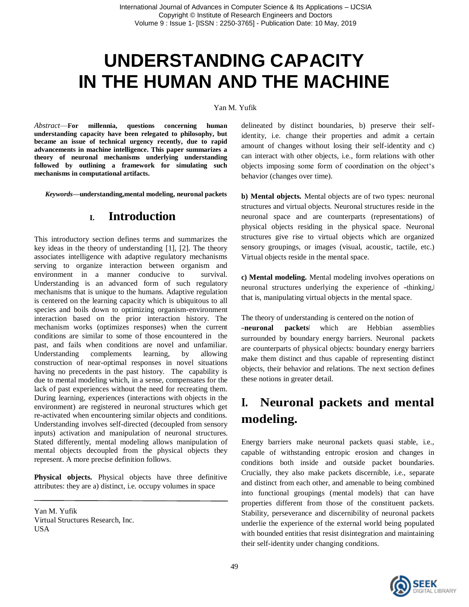# **UNDERSTANDING CAPACITY IN THE HUMAN AND THE MACHINE**

#### Yan M. Yufik

*Abstract*—**For millennia, questions concerning human understanding capacity have been relegated to philosophy, but became an issue of technical urgency recently, due to rapid advancements in machine intelligence. This paper summarizes a theory of neuronal mechanisms underlying understanding followed by outlining a framework for simulating such mechanisms in computational artifacts.**

*Keywords—***understanding,mental modeling, neuronal packets**

#### **I. Introduction**

This introductory section defines terms and summarizes the key ideas in the theory of understanding [1], [2]. The theory associates intelligence with adaptive regulatory mechanisms serving to organize interaction between organism and environment in a manner conducive to survival. Understanding is an advanced form of such regulatory mechanisms that is unique to the humans. Adaptive regulation is centered on the learning capacity which is ubiquitous to all species and boils down to optimizing organism-environment interaction based on the prior interaction history. The mechanism works (optimizes responses) when the current conditions are similar to some of those encountered in the past, and fails when conditions are novel and unfamiliar. Understanding complements learning, by allowing construction of near-optimal responses in novel situations having no precedents in the past history. The capability is due to mental modeling which, in a sense, compensates for the lack of past experiences without the need for recreating them. During learning, experiences (interactions with objects in the environment) are registered in neuronal structures which get re-activated when encountering similar objects and conditions. Understanding involves self-directed (decoupled from sensory inputs) activation and manipulation of neuronal structures. Stated differently, mental modeling allows manipulation of mental objects decoupled from the physical objects they represent. A more precise definition follows.

**Physical objects.** Physical objects have three definitive attributes: they are a) distinct, i.e. occupy volumes in space

Yan M. Yufik Virtual Structures Research, Inc. **USA** 

delineated by distinct boundaries, b) preserve their selfidentity, i.e. change their properties and admit a certain amount of changes without losing their self-identity and c) can interact with other objects, i.e., form relations with other objects imposing some form of coordination on the object's behavior (changes over time).

**b) Mental objects.** Mental objects are of two types: neuronal structures and virtual objects. Neuronal structures reside in the neuronal space and are counterparts (representations) of physical objects residing in the physical space. Neuronal structures give rise to virtual objects which are organized sensory groupings, or images (visual, acoustic, tactile, etc.) Virtual objects reside in the mental space.

**c) Mental modeling.** Mental modeling involves operations on neuronal structures underlying the experience of -thinking, that is, manipulating virtual objects in the mental space.

The theory of understanding is centered on the notion of ―**neuronal packets**‖ which are Hebbian assemblies surrounded by boundary energy barriers. Neuronal packets are counterparts of physical objects: boundary energy barriers make them distinct and thus capable of representing distinct objects, their behavior and relations. The next section defines these notions in greater detail.

## **I. Neuronal packets and mental modeling.**

Energy barriers make neuronal packets quasi stable, i.e., capable of withstanding entropic erosion and changes in conditions both inside and outside packet boundaries. Crucially, they also make packets discernible, i.e., separate and distinct from each other, and amenable to being combined into functional groupings (mental models) that can have properties different from those of the constituent packets. Stability, perseverance and discernibility of neuronal packets underlie the experience of the external world being populated with bounded entities that resist disintegration and maintaining their self-identity under changing conditions.

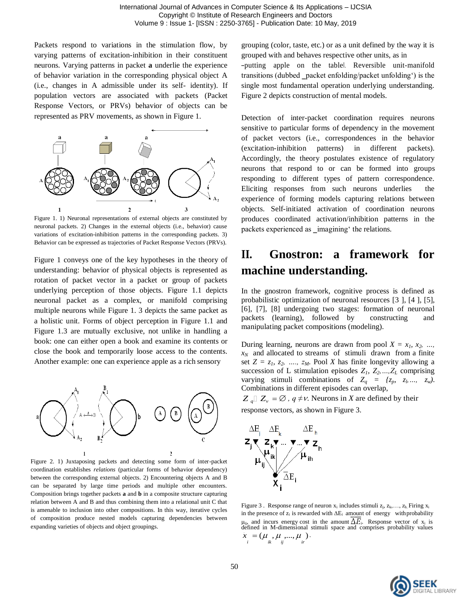Packets respond to variations in the stimulation flow, by varying patterns of excitation-inhibition in their constituent neurons. Varying patterns in packet **a** underlie the experience of behavior variation in the corresponding physical object A (i.e., changes in A admissible under its self- identity). If population vectors are associated with packets (Packet Response Vectors, or PRVs) behavior of objects can be represented as PRV movements, as shown in Figure 1.



Figure 1. 1) Neuronal representations of external objects are constituted by neuronal packets. 2) Changes in the external objects (i.e., behavior) cause variations of excitation-inhibition patterns in the corresponding packets. 3) Behavior can be expressed as trajectories of Packet Response Vectors (PRVs).

Figure 1 conveys one of the key hypotheses in the theory of understanding: behavior of physical objects is represented as rotation of packet vector in a packet or group of packets underlying perception of those objects. Figure 1.1 depicts neuronal packet as a complex, or manifold comprising multiple neurons while Figure 1. 3 depicts the same packet as a holistic unit. Forms of object perception in Figure 1.1 and Figure 1.3 are mutually exclusive, not unlike in handling a book: one can either open a book and examine its contents or close the book and temporarily loose access to the contents. Another example: one can experience apple as a rich sensory



Figure 2. 1) Juxtaposing packets and detecting some form of inter-packet coordination establishes *relations* (particular forms of behavior dependency) between the corresponding external objects. 2) Encountering objects A and B can be separated by large time periods and multiple other encounters. Composition brings together packets **a** and **b** in a composite structure capturing relation between A and B and thus combining them into a relational unit C that is amenable to inclusion into other compositions. In this way, iterative cycles of composition produce nested models capturing dependencies between expanding varieties of objects and object groupings.

grouping (color, taste, etc.) or as a unit defined by the way it is grouped with and behaves respective other units, as in ―putting apple on the table‖. Reversible unit-manifold transitions (dubbed \_packet enfolding/packet unfolding') is the single most fundamental operation underlying understanding. Figure 2 depicts construction of mental models.

Detection of inter-packet coordination requires neurons sensitive to particular forms of dependency in the movement of packet vectors (i.e., correspondences in the behavior (excitation-inhibition patterns) in different packets). Accordingly, the theory postulates existence of regulatory neurons that respond to or can be formed into groups responding to different types of pattern correspondence. Eliciting responses from such neurons underlies the experience of forming models capturing relations between objects. Self-initiated activation of coordination neurons produces coordinated activation/inhibition patterns in the packets experienced as \_imagining' the relations.

# **II. Gnostron: a framework for machine understanding.**

In the gnostron framework, cognitive process is defined as probabilistic optimization of neuronal resources [3 ], [4 ], [5], [6], [7], [8] undergoing two stages: formation of neuronal packets (learning), followed by constructing and manipulating packet compositions (modeling).

During learning, neurons are drawn from pool  $X = x_1, x_2, \ldots$  $x_N$  and allocated to streams of stimuli drawn from a finite set  $Z = z_1, z_2, \ldots, z_M$ . Pool *X* has finite longevity allowing a succession of L stimulation episodes  $Z_1$ ,  $Z_2$ , ...,  $Z_L$  comprising varying stimuli combinations of  $Z_q = \{z_p, z_b, ..., z_w\}$ . Combinations in different episodes can overlap,

 $Z_q \square Z_v = \emptyset$ ,  $q \neq v$ . Neurons in *X* are defined by their response vectors, as shown in Figure 3.



Figure 3. Response range of neuron  $x_i$  includes stimuli  $z_i, z_k, \ldots, z_h$ . Firing  $x_i$ in the presence of  $z_i$  is rewarded with  $\Delta E_i$  amount of energy with probability  $\mu_{ii}$ , and incurs energy cost in the amount  $\Delta E_i$ . Response vector of  $x_i$  is defined in M-dimensional stimuli space and comprises probability values  $\bar{x}$ <sub>*i*</sub> = ( $\mu$ <sub>*ik*</sub>,  $\mu$ <sub>*ii*</sup>*ii*<sub>*ii*</sub></sub>

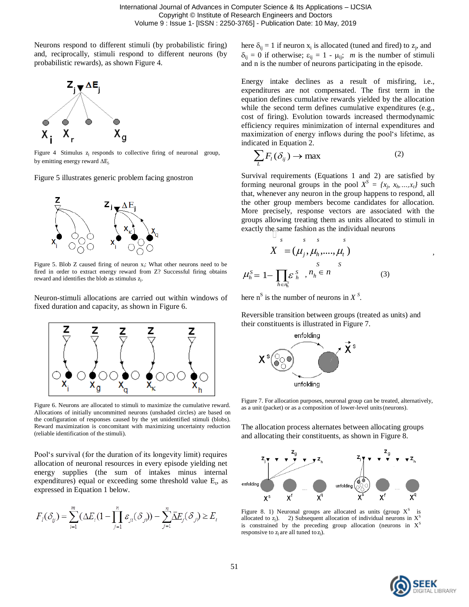Neurons respond to different stimuli (by probabilistic firing) and, reciprocally, stimuli respond to different neurons (by probabilistic rewards), as shown Figure 4.



Figure 4 Stimulus  $z_j$  responds to collective firing of neuronal group,  $\sum_l F_l$ <br>by emitting energy reward  $\Delta E_j$ .



Figure 5. Blob Z caused firing of neuron x<sub>i</sub>: What other neurons need to be fired in order to extract energy reward from Z? Successful firing obtains reward and identifies the blob as stimulus  $z_i$ .

Neuron-stimuli allocations are carried out within windows of fixed duration and capacity, as shown in Figure 6.



Figure 6. Neurons are allocated to stimuli to maximize the cumulative reward. Allocations of initially uncommitted neurons (unshaded circles) are based on the configuration of responses caused by the yet unidentified stimuli (blobs). Reward maximization is concomitant with maximizing uncertainty reduction (reliable identification of the stimuli).

Pool's survival (for the duration of its longevity limit) requires allocation of neuronal resources in every episode yielding net energy supplies (the sum of intakes minus internal expenditures) equal or exceeding some threshold value  $E_t$ , as expressed in Equation 1 below.

$$
F_i(\delta_{ij}) = \sum_{i=1}^m (\Delta E_i (1 - \prod_{j=1}^n \varepsilon_{ji}(\delta_{ij})) - \sum_{j=1}^n \overline{\Delta} E_j(\delta_{ij}) \ge E_t
$$

here  $\delta_{ij} = 1$  if neuron  $x_i$  is allocated (tuned and fired) to  $z_j$ , and  $\delta_{ij} = 0$  if otherwise;  $\varepsilon_{ij} = 1 - \mu_{ij}$ ; *m* is the number of stimuli and n is the number of neurons participating in the episode.

Energy intake declines as a result of misfiring, i.e., expenditures are not compensated. The first term in the equation defines cumulative rewards yielded by the allocation while the second term defines cumulative expenditures (e.g., cost of firing). Evolution towards increased thermodynamic efficiency requires minimization of internal expenditures and maximization of energy inflows during the pool's lifetime, as indicated in Equation 2.

$$
\sum_{L} F_{l}(\delta_{ij}) \to \max \tag{2}
$$

Figure 5 illustrates generic problem facing gnostron Survival requirements (Equations 1 and 2) are satisfied by forming neuronal groups in the pool  $X^S = \{x_j, x_h, ..., x_t\}$  such that, whenever any neuron in the group happens to respond, all the other group members become candidates for allocation. More precisely, response vectors are associated with the groups allowing treating them as units allocated to stimuli in exactly the same fashion as the individual neurons

$$
X = (\mu_j, \mu_h, \dots, \mu_t)
$$
  
\n
$$
\mu_h^S = 1 - \prod_{h \in n_h^S} \varepsilon_h^S, n_h \in n
$$
\n(3)

here  $n^S$  is the number of neurons in  $X^S$ .

Reversible transition between groups (treated as units) and their constituents is illustrated in Figure 7.



Figure 7. For allocation purposes, neuronal group can be treated, alternatively, as a unit (packet) or as a composition of lower-level units(neurons).

The allocation process alternates between allocating groups and allocating their constituents, as shown in Figure 8.



Figure 8. 1) Neuronal groups are allocated as units (group  $X<sup>S</sup>$  is allocated to  $z_j$ ). 2) Subsequent allocation of individual neurons in  $X^S$ is constrained by the preceding group allocation (neurons in  $X<sup>S</sup>$ responsive to  $z_j$  are all tuned to  $z_j$ ).